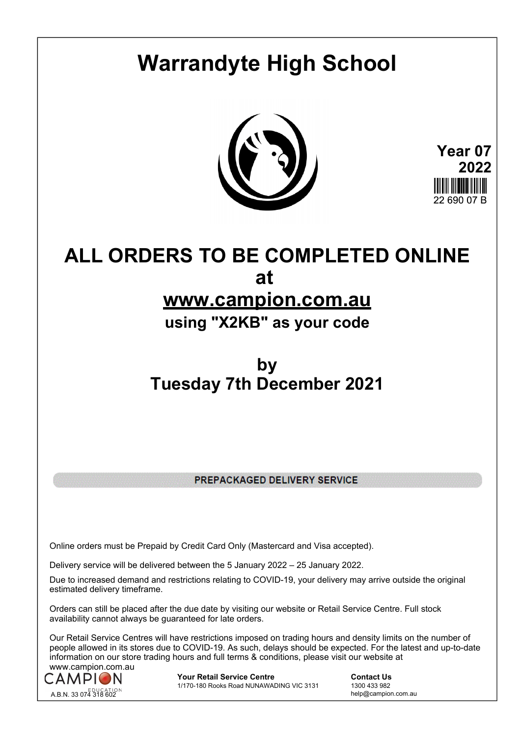# **Warrandyte High School**



**Year 07 2022** 22 690 07 B

## **ALL ORDERS TO BE COMPLETED ONLINE at**

### **www.campion.com.au**

### **using "X2KB" as your code**

## **by Tuesday 7th December 2021**

PREPACKAGED DELIVERY SERVICE

Online orders must be Prepaid by Credit Card Only (Mastercard and Visa accepted).

Delivery service will be delivered between the 5 January 2022 – 25 January 2022.

Due to increased demand and restrictions relating to COVID-19, your delivery may arrive outside the original estimated delivery timeframe.

Orders can still be placed after the due date by visiting our website or Retail Service Centre. Full stock availability cannot always be guaranteed for late orders.

Our Retail Service Centres will have restrictions imposed on trading hours and density limits on the number of people allowed in its stores due to COVID-19. As such, delays should be expected. For the latest and up-to-date information on our store trading hours and full terms & conditions, please visit our website at www.campion.com.au



**Your Retail Service Centre Contact Us**<br>
1770-180 Rooks Road NUNAWADING VIC 3131
1300 433 982 1/170-180 Rooks Road NUNAWADING VIC 3131

help@campion.com.au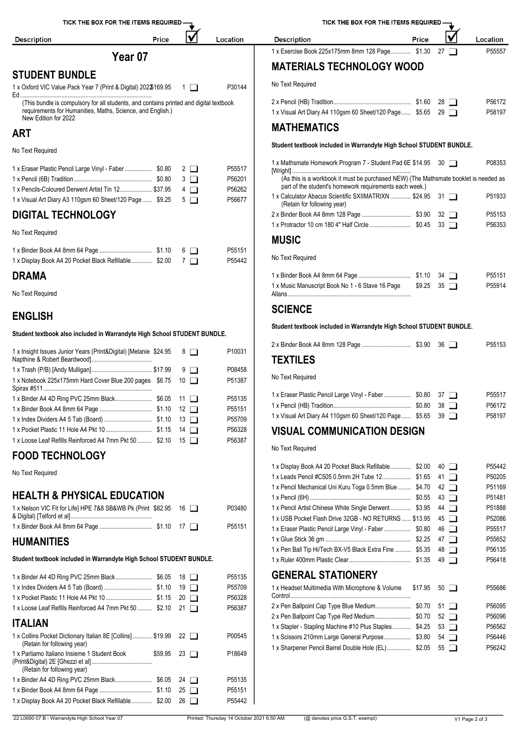

| 1 x Insight Issues Junior Years (Print&Digital) [Melanie \$24.95 8 |         | P <sub>10031</sub>         | <b>TEXTILES</b>                                                                                |
|--------------------------------------------------------------------|---------|----------------------------|------------------------------------------------------------------------------------------------|
| 1 x Notebook 225x175mm Hard Cover Blue 200 pages \$6.75 10         | $9\Box$ | P08458<br>P51387           | No Text Required                                                                               |
|                                                                    |         | P55135<br>P55151<br>P55709 | 1 x Eraser Plastic Pencil Large<br>1 x Pencil (HB) Tradition<br>1 x Visual Art Diary A4 110gsn |
| 1 x Loose Leaf Refills Reinforced A4 7mm Pkt 50  \$2.10 15         |         | P56328<br>P56387           | <b>VISUAL COMMUN</b>                                                                           |

### **FOOD TECHNOLOGY**

No Text Required

### **HEALTH & PHYSICAL EDUCATION**

| 1 x Nelson VIC Fit for Life] HPE 7&8 SB&WB Pk (Print $$82.95$ 16 | P03480 | 1 x Pencil Artist Chinese White |
|------------------------------------------------------------------|--------|---------------------------------|
|                                                                  |        | 1 x USB Pocket Flash Drive 32   |
|                                                                  | P55151 | 1 x Eraser Plastic Pencil Large |

### **HUMANITIES**

#### **Student textbook included in Warrandyte High School STUDENT BUNDLE.**

|                                                                                              |         | 18 I I               | P55135 | <b>GENERAL STATION</b>         |
|----------------------------------------------------------------------------------------------|---------|----------------------|--------|--------------------------------|
|                                                                                              |         | 19<br>$\perp$        | P55709 | 1 x Headset Multimedia With N  |
|                                                                                              |         | 20<br>$\blacksquare$ | P56328 |                                |
| 1 x Loose Leaf Refills Reinforced A4 7mm Pkt 50  \$2.10                                      |         | 21<br>$\blacksquare$ | P56387 | 2 x Pen Ballpoint Cap Type Blu |
|                                                                                              |         |                      |        | 2 x Pen Ballpoint Cap Type Re  |
| <b>ITALIAN</b>                                                                               |         |                      |        | 1 x Stapler - Stapling Machine |
| 1 x Collins Pocket Dictionary Italian 8E [Collins] \$19.99 22<br>(Retain for following year) |         |                      | P00545 | 1 x Scissors 210mm Large Ge    |
| 1 x Parliamo Italiano Insieme 1 Student Book<br>(Retain for following year)                  | \$59.95 | $23 \Box$            | P18649 | 1 x Sharpener Pencil Barrel Do |
|                                                                                              |         | 24 $\Box$            | P55135 |                                |
|                                                                                              |         | $25 \Box$            | P55151 |                                |
| 1 x Display Book A4 20 Pocket Black Refillable \$2.00                                        |         | 26<br>$\mathbf{I}$   | P55442 |                                |
|                                                                                              |         |                      |        |                                |

TICK THE BOX FOR THE ITEMS REQUIRED IV **Description** Price Location 1 x Exercise Book 225x175mm 8mm 128 Page.............. \$1.30 27 **MATERIALS TECHNOLOGY WOOD** No Text Required 2 x Pencil (HB) Tradition................................................. \$1.60 28 P56172 1 x Visual Art Diary A4 110gsm 60 Sheet/120 Page...... \$5.65 29 **MATHEMATICS Student textbook included in Warrandyte High School STUDENT BUNDLE.** 1 x Mathsmate Homework Program 7 - Student Pad 6E [Wright] ........................................................................... \$14.95 <sup>30</sup> P08353 (As this is a workbook it must be purchased NEW) (The Mathsmate booklet is needed as part of the student's homework requirements each week.) 1 x Calculator Abacus Scientific SXIIMATRIXN .............. \$24.95 31 P51933 (Retain for following year) 2 x Binder Book A4 8mm 128 Page ............................... \$3.90 32 P55153 1 x Protractor 10 cm 180 4" Half Circle .......................... \$0.45 33 P56353 **MUSIC** No Text Required 1 x Binder Book A4 8mm 64 Page ................................. \$1.10 34 P55151 1 x Music Manuscript Book No 1 - 6 Stave 16 Page Allans.............................................................................. \$9.25 <sup>35</sup> P55914 **SCIENCE Student textbook included in Warrandyte High School STUDENT BUNDLE.** 2 x Binder Book A4 8mm 128 Page ............................... \$3.90 36 P55153 **TEXTILES** No Text Required 1 x Binder A4 4D Ring PVC 25mm Black..................................\$6.05 11 D P55135 P555135 | 1x Eraser Plastic Pencil Large Vinyl - Faber ......................\$0.80 37 D P55517 1 x Pencil (HB) Tradition................................................. \$0.80 38 P56172 1 x Visual Art Diary A4 110gsm 60 Sheet/120 Page...... \$5.65 39 **VISUAL COMMUNICATION DESIGN** 1 x Pocket Plastic 11 Hole A4 Pkt 10 ............................. \$1.15 14 P56328

No Text Required

| 1 x Display Book A4 20 Pocket Black Refillable \$2.00      | $40$ $\Box$ | P55442 |
|------------------------------------------------------------|-------------|--------|
| 1 x Leads Pencil #C505 0.5mm 2H Tube 12 \$1.65             | 41 I        | P50205 |
| 1 x Pencil Mechanical Uni Kuru Toga 0.5mm Blue  \$4.70     | $42 \Box$   | P51169 |
|                                                            | $43 \Box$   | P51481 |
| 1 x Pencil Artist Chinese White Single Derwent \$3.95      | $44$ $\Box$ | P51888 |
| 1 x USB Pocket Flash Drive 32GB - NO RETURNS  \$13.95      | $45 \Box$   | P52086 |
| 1 x Eraser Plastic Pencil Large Vinyl - Faber  \$0.80      | $46$ $\Box$ | P55517 |
|                                                            | $47$ $\Box$ | P55652 |
| 1 x Pen Ball Tip Hi/Tech BX-V5 Black Extra Fine  \$5.35    | 48 □        | P56135 |
|                                                            | $49$ $\Box$ | P56418 |
| <b>GENERAL STATIONERY</b>                                  |             |        |
| 1 x Headset Multimedia With Microphone & Volume<br>\$17.95 | $50 \Box$   | P55686 |
| 2 x Pen Ballpoint Cap Type Blue Medium \$0.70              | $51 \perp$  | P56095 |
| 2 x Pen Ballpoint Cap Type Red Medium \$0.70               | $52$ $\Box$ | P56096 |
| 1 x Stapler - Stapling Machine #10 Plus Staples \$4.25     | $53$ $\Box$ | P56562 |
| 1 x Scissors 210mm Large General Purpose \$3.80            | $54$ $\Box$ | P56446 |
| 1 x Sharpener Pencil Barrel Double Hole (EL) \$2.05        | $55\Box$    | P56242 |